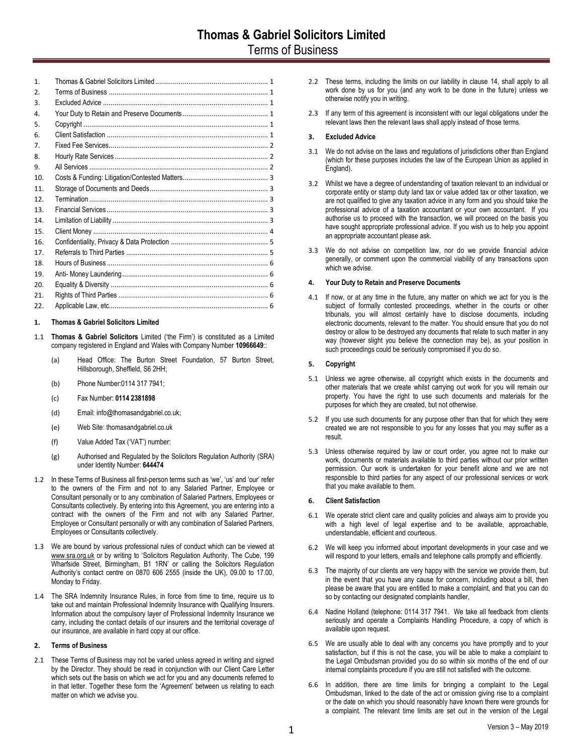# <span id="page-0-0"></span>**1. Thomas & Gabriel Solicitors Limited**

- 1.1 **Thomas & Gabriel Solicitors** Limited ('the Firm') is constituted as a Limited company registered in England and Wales with Company Number **10966649**::
	- (a) Head Office: The Burton Street Foundation, 57 Burton Street, Hillsborough, Sheffield, S6 2HH;
	- (b) Phone Number:0114 317 7941;
	- (c) Fax Number: **0114 2381898**
	- (d) Email: info@thomasandgabriel.co.uk;
	- (e) Web Site: thomasandgabriel.co.uk
	- (f) Value Added Tax ('VAT') number:
	- (g) Authorised and Regulated by the Solicitors Regulation Authority (SRA) under Identity Number: **644474**
- 1.2 In these Terms of Business all first-person terms such as 'we', 'us' and 'our' refer to the owners of the Firm and not to any Salaried Partner, Employee or Consultant personally or to any combination of Salaried Partners, Employees or Consultants collectively. By entering into this Agreement, you are entering into a contract with the owners of the Firm and not with any Salaried Partner, Employee or Consultant personally or with any combination of Salaried Partners, Employees or Consultants collectively.
- 1.3 We are bound by various professional rules of conduct which can be viewed at [www.sra.org.uk](http://www.sra.org.uk/solicitors/code-of-conduct.page) or by writing to 'Solicitors Regulation Authority, The Cube, 199 Wharfside Street, Birmingham, B1 1RN' or calling the Solicitors Regulation Authority's contact centre on 0870 606 2555 (inside the UK), 09.00 to 17.00, Monday to Friday.
- 1.4 The SRA Indemnity Insurance Rules, in force from time to time, require us to take out and maintain Professional Indemnity Insurance with Qualifying Insurers. Information about the compulsory layer of Professional Indemnity Insurance we carry, including the contact details of our insurers and the territorial coverage of our insurance, are available in hard copy at our office.

# <span id="page-0-1"></span>**2. Terms of Business**

2.1 These Terms of Business may not be varied unless agreed in writing and signed by the Director. They should be read in conjunction with our Client Care Letter which sets out the basis on which we act for you and any documents referred to in that letter. Together these form the 'Agreement' between us relating to each matter on which we advise you.

- 2.2 These terms, including the limits on our liability in clause [14,](#page-2-4) shall apply to all work done by us for you (and any work to be done in the future) unless we otherwise notify you in writing.
- 2.3 If any term of this agreement is inconsistent with our legal obligations under the relevant laws then the relevant laws shall apply instead of those terms.

# <span id="page-0-2"></span>**3. Excluded Advice**

- 3.1 We do not advise on the laws and regulations of jurisdictions other than England (which for these purposes includes the law of the European Union as applied in England).
- 3.2 Whilst we have a degree of understanding of taxation relevant to an individual or corporate entity or stamp duty land tax or value added tax or other taxation, we are not qualified to give any taxation advice in any form and you should take the professional advice of a taxation accountant or your own accountant. If you authorise us to proceed with the transaction, we will proceed on the basis you have sought appropriate professional advice. If you wish us to help you appoint an appropriate accountant please ask.
- 3.3 We do not advise on competition law, nor do we provide financial advice generally, or comment upon the commercial viability of any transactions upon which we advise.

## <span id="page-0-3"></span>**4. Your Duty to Retain and Preserve Documents**

4.1 If now, or at any time in the future, any matter on which we act for you is the subject of formally contested proceedings, whether in the courts or other tribunals, you will almost certainly have to disclose documents, including electronic documents, relevant to the matter. You should ensure that you do not destroy or allow to be destroyed any documents that relate to such matter in any way (however slight you believe the connection may be), as your position in such proceedings could be seriously compromised if you do so.

## <span id="page-0-4"></span>**5. Copyright**

- 5.1 Unless we agree otherwise, all copyright which exists in the documents and other materials that we create whilst carrying out work for you will remain our property. You have the right to use such documents and materials for the purposes for which they are created, but not otherwise.
- 5.2 If you use such documents for any purpose other than that for which they were created we are not responsible to you for any losses that you may suffer as a result.
- 5.3 Unless otherwise required by law or court order, you agree not to make our work, documents or materials available to third parties without our prior written permission. Our work is undertaken for your benefit alone and we are not responsible to third parties for any aspect of our professional services or work that you make available to them.

# <span id="page-0-5"></span>**6. Client Satisfaction**

- 6.1 We operate strict client care and quality policies and always aim to provide you with a high level of legal expertise and to be available, approachable, understandable, efficient and courteous.
- 6.2 We will keep you informed about important developments in your case and we will respond to your letters, emails and telephone calls promptly and efficiently.
- 6.3 The majority of our clients are very happy with the service we provide them, but in the event that you have any cause for concern, including about a bill, then please be aware that you are entitled to make a complaint, and that you can do so by contacting our designated complaints handler,
- 6.4 Nadine Holland (telephone: 0114 317 7941. We take all feedback from clients seriously and operate a Complaints Handling Procedure, a copy of which is available upon request.
- 6.5 We are usually able to deal with any concerns you have promptly and to your satisfaction, but if this is not the case, you will be able to make a complaint to the Legal Ombudsman provided you do so within six months of the end of our internal complaints procedure if you are still not satisfied with the outcome.
- 6.6 In addition, there are time limits for bringing a complaint to the Legal Ombudsman, linked to the date of the act or omission giving rise to a complaint or the date on which you should reasonably have known there were grounds for a complaint. The relevant time limits are set out in the version of the Legal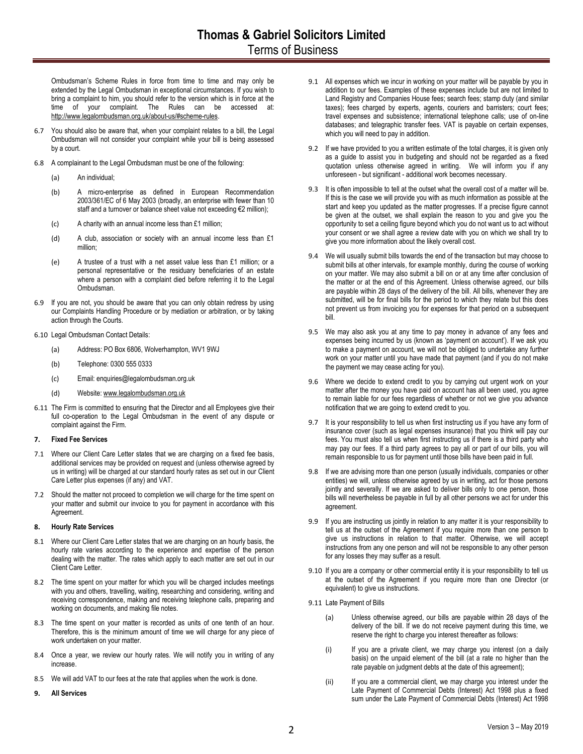Ombudsman's Scheme Rules in force from time to time and may only be extended by the Legal Ombudsman in exceptional circumstances. If you wish to bring a complaint to him, you should refer to the version which is in force at the time of your complaint. The Rules can be accessed at: [http://www.legalombudsman.org.uk/about-us/#scheme-rules.](http://www.legalombudsman.org.uk/about-us/#scheme-rules)

- 6.7 You should also be aware that, when your complaint relates to a bill, the Legal Ombudsman will not consider your complaint while your bill is being assessed by a court.
- 6.8 A complainant to the Legal Ombudsman must be one of the following:
	- (a) An individual;
	- (b) A micro-enterprise as defined in European Recommendation 2003/361/EC of 6 May 2003 (broadly, an enterprise with fewer than 10 staff and a turnover or balance sheet value not exceeding €2 million);
	- (c) A charity with an annual income less than £1 million;
	- (d) A club, association or society with an annual income less than £1 million;
	- (e) A trustee of a trust with a net asset value less than £1 million; or a personal representative or the residuary beneficiaries of an estate where a person with a complaint died before referring it to the Legal Ombudsman.
- 6.9 If you are not, you should be aware that you can only obtain redress by using our Complaints Handling Procedure or by mediation or arbitration, or by taking action through the Courts.
- <span id="page-1-4"></span>6.10 Legal Ombudsman Contact Details:
	- (a) Address: PO Box 6806, Wolverhampton, WV1 9WJ
	- (b) Telephone: 0300 555 0333
	- (c) Email: enquiries@legalombudsman.org.uk
	- (d) Website[: www.legalombudsman.org.uk](http://www.legalombudsman.org.uk/)
- 6.11 The Firm is committed to ensuring that the Director and all Employees give their full co-operation to the Legal Ombudsman in the event of any dispute or complaint against the Firm.

## <span id="page-1-0"></span>**7. Fixed Fee Services**

- 7.1 Where our Client Care Letter states that we are charging on a fixed fee basis, additional services may be provided on request and (unless otherwise agreed by us in writing) will be charged at our standard hourly rates as set out in our Client Care Letter plus expenses (if any) and VAT.
- 7.2 Should the matter not proceed to completion we will charge for the time spent on your matter and submit our invoice to you for payment in accordance with this Agreement.

# <span id="page-1-1"></span>**8. Hourly Rate Services**

- 8.1 Where our Client Care Letter states that we are charging on an hourly basis, the hourly rate varies according to the experience and expertise of the person dealing with the matter. The rates which apply to each matter are set out in our Client Care Letter.
- 8.2 The time spent on your matter for which you will be charged includes meetings with you and others, travelling, waiting, researching and considering, writing and receiving correspondence, making and receiving telephone calls, preparing and working on documents, and making file notes.
- 8.3 The time spent on your matter is recorded as units of one tenth of an hour. Therefore, this is the minimum amount of time we will charge for any piece of work undertaken on your matter.
- 8.4 Once a year, we review our hourly rates. We will notify you in writing of any increase.
- 8.5 We will add VAT to our fees at the rate that applies when the work is done.
- <span id="page-1-2"></span>**9. All Services**
- 9.1 All expenses which we incur in working on your matter will be payable by you in addition to our fees. Examples of these expenses include but are not limited to Land Registry and Companies House fees; search fees; stamp duty (and similar taxes); fees charged by experts, agents, couriers and barristers; court fees; travel expenses and subsistence; international telephone calls; use of on-line databases; and telegraphic transfer fees. VAT is payable on certain expenses, which you will need to pay in addition.
- 9.2 If we have provided to you a written estimate of the total charges, it is given only as a guide to assist you in budgeting and should not be regarded as a fixed quotation unless otherwise agreed in writing. We will inform you if any unforeseen - but significant - additional work becomes necessary.
- 9.3 It is often impossible to tell at the outset what the overall cost of a matter will be. If this is the case we will provide you with as much information as possible at the start and keep you updated as the matter progresses. If a precise figure cannot be given at the outset, we shall explain the reason to you and give you the opportunity to set a ceiling figure beyond which you do not want us to act without your consent or we shall agree a review date with you on which we shall try to give you more information about the likely overall cost.
- 9.4 We will usually submit bills towards the end of the transaction but may choose to submit bills at other intervals, for example monthly, during the course of working on your matter. We may also submit a bill on or at any time after conclusion of the matter or at the end of this Agreement. Unless otherwise agreed, our bills are payable within 28 days of the delivery of the bill. All bills, whenever they are submitted, will be for final bills for the period to which they relate but this does not prevent us from invoicing you for expenses for that period on a subsequent bill.
- 9.5 We may also ask you at any time to pay money in advance of any fees and expenses being incurred by us (known as 'payment on account'). If we ask you to make a payment on account, we will not be obliged to undertake any further work on your matter until you have made that payment (and if you do not make the payment we may cease acting for you).
- 9.6 Where we decide to extend credit to you by carrying out urgent work on your matter after the money you have paid on account has all been used, you agree to remain liable for our fees regardless of whether or not we give you advance notification that we are going to extend credit to you.
- 9.7 It is your responsibility to tell us when first instructing us if you have any form of insurance cover (such as legal expenses insurance) that you think will pay our fees. You must also tell us when first instructing us if there is a third party who may pay our fees. If a third party agrees to pay all or part of our bills, you will remain responsible to us for payment until those bills have been paid in full.
- 9.8 If we are advising more than one person (usually individuals, companies or other entities) we will, unless otherwise agreed by us in writing, act for those persons jointly and severally. If we are asked to deliver bills only to one person, those bills will nevertheless be payable in full by all other persons we act for under this agreement.
- 9.9 If you are instructing us jointly in relation to any matter it is your responsibility to tell us at the outset of the Agreement if you require more than one person to give us instructions in relation to that matter. Otherwise, we will accept instructions from any one person and will not be responsible to any other person for any losses they may suffer as a result.
- 9.10 If you are a company or other commercial entity it is your responsibility to tell us at the outset of the Agreement if you require more than one Director (or equivalent) to give us instructions.
- <span id="page-1-3"></span>9.11 Late Payment of Bills
	- (a) Unless otherwise agreed, our bills are payable within 28 days of the delivery of the bill. If we do not receive payment during this time, we reserve the right to charge you interest thereafter as follows:
	- (i) If you are a private client, we may charge you interest (on a daily basis) on the unpaid element of the bill (at a rate no higher than the rate payable on judgment debts at the date of this agreement);
	- (ii) If you are a commercial client, we may charge you interest under the Late Payment of Commercial Debts (Interest) Act 1998 plus a fixed sum under the Late Payment of Commercial Debts (Interest) Act 1998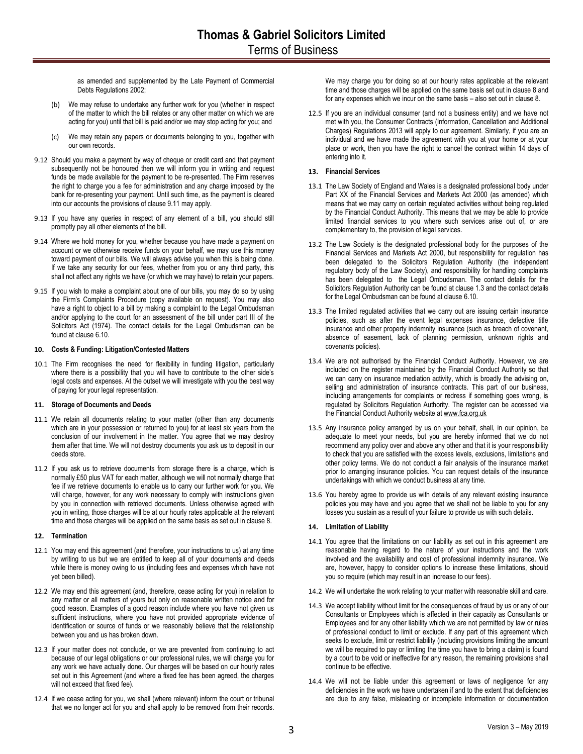as amended and supplemented by the Late Payment of Commercial Debts Regulations 2002;

- (b) We may refuse to undertake any further work for you (whether in respect of the matter to which the bill relates or any other matter on which we are acting for you) until that bill is paid and/or we may stop acting for you; and
- (c) We may retain any papers or documents belonging to you, together with our own records.
- 9.12 Should you make a payment by way of cheque or credit card and that payment subsequently not be honoured then we will inform you in writing and request funds be made available for the payment to be re-presented. The Firm reserves the right to charge you a fee for administration and any charge imposed by the bank for re-presenting your payment. Until such time, as the payment is cleared into our accounts the provisions of claus[e 9.11](#page-1-3) may apply.
- 9.13 If you have any queries in respect of any element of a bill, you should still promptly pay all other elements of the bill.
- 9.14 Where we hold money for you, whether because you have made a payment on account or we otherwise receive funds on your behalf, we may use this money toward payment of our bills. We will always advise you when this is being done. If we take any security for our fees, whether from you or any third party, this shall not affect any rights we have (or which we may have) to retain your papers.
- 9.15 If you wish to make a complaint about one of our bills, you may do so by using the Firm's Complaints Procedure (copy available on request). You may also have a right to object to a bill by making a complaint to the Legal Ombudsman and/or applying to the court for an assessment of the bill under part III of the Solicitors Act (1974). The contact details for the Legal Ombudsman can be found at claus[e 6.10.](#page-1-4)

## <span id="page-2-0"></span>**10. Costs & Funding: Litigation/Contested Matters**

10.1 The Firm recognises the need for flexibility in funding litigation, particularly where there is a possibility that you will have to contribute to the other side's legal costs and expenses. At the outset we will investigate with you the best way of paying for your legal representation.

#### <span id="page-2-1"></span>**11. Storage of Documents and Deeds**

- 11.1 We retain all documents relating to your matter (other than any documents which are in your possession or returned to you) for at least six years from the conclusion of our involvement in the matter. You agree that we may destroy them after that time. We will not destroy documents you ask us to deposit in our deeds store.
- 11.2 If you ask us to retrieve documents from storage there is a charge, which is normally £50 plus VAT for each matter, although we will not normally charge that fee if we retrieve documents to enable us to carry our further work for you. We will charge, however, for any work necessary to comply with instructions given by you in connection with retrieved documents. Unless otherwise agreed with you in writing, those charges will be at our hourly rates applicable at the relevant time and those charges will be applied on the same basis as set out in claus[e 8.](#page-1-1)

#### <span id="page-2-2"></span>**12. Termination**

- 12.1 You may end this agreement (and therefore, your instructions to us) at any time by writing to us but we are entitled to keep all of your documents and deeds while there is money owing to us (including fees and expenses which have not yet been billed).
- 12.2 We may end this agreement (and, therefore, cease acting for you) in relation to any matter or all matters of yours but only on reasonable written notice and for good reason. Examples of a good reason include where you have not given us sufficient instructions, where you have not provided appropriate evidence of identification or source of funds or we reasonably believe that the relationship between you and us has broken down.
- 12.3 If your matter does not conclude, or we are prevented from continuing to act because of our legal obligations or our professional rules, we will charge you for any work we have actually done. Our charges will be based on our hourly rates set out in this Agreement (and where a fixed fee has been agreed, the charges will not exceed that fixed fee).
- 12.4 If we cease acting for you, we shall (where relevant) inform the court or tribunal that we no longer act for you and shall apply to be removed from their records.

We may charge you for doing so at our hourly rates applicable at the relevant time and those charges will be applied on the same basis set out in claus[e 8](#page-1-1) and for any expenses which we incur on the same basis – also set out in claus[e 8.](#page-1-1)

12.5 If you are an individual consumer (and not a business entity) and we have not met with you, the Consumer Contracts (Information, Cancellation and Additional Charges) Regulations 2013 will apply to our agreement. Similarly, if you are an individual and we have made the agreement with you at your home or at your place or work, then you have the right to cancel the contract within 14 days of entering into it.

# <span id="page-2-3"></span>**13. Financial Services**

- 13.1 The Law Society of England and Wales is a designated professional body under Part XX of the Financial Services and Markets Act 2000 (as amended) which means that we may carry on certain regulated activities without being regulated by the Financial Conduct Authority. This means that we may be able to provide limited financial services to you where such services arise out of, or are complementary to, the provision of legal services.
- 13.2 The Law Society is the designated professional body for the purposes of the Financial Services and Markets Act 2000, but responsibility for regulation has been delegated to the Solicitors Regulation Authority (the independent regulatory body of the Law Society), and responsibility for handling complaints has been delegated to the Legal Ombudsman. The contact details for the Solicitors Regulation Authority can be found at clause 1.3 and the contact details for the Legal Ombudsman can be found at claus[e 6.10.](#page-1-4)
- 13.3 The limited regulated activities that we carry out are issuing certain insurance policies, such as after the event legal expenses insurance, defective title insurance and other property indemnity insurance (such as breach of covenant, absence of easement, lack of planning permission, unknown rights and covenants policies).
- 13.4 We are not authorised by the Financial Conduct Authority. However, we are included on the register maintained by the Financial Conduct Authority so that we can carry on insurance mediation activity, which is broadly the advising on, selling and administration of insurance contracts. This part of our business, including arrangements for complaints or redress if something goes wrong, is regulated by Solicitors Regulation Authority. The register can be accessed via the Financial Conduct Authority website a[t www.fca.org.uk](http://www.fca.org.uk/)
- 13.5 Any insurance policy arranged by us on your behalf, shall, in our opinion, be adequate to meet your needs, but you are hereby informed that we do not recommend any policy over and above any other and that it is your responsibility to check that you are satisfied with the excess levels, exclusions, limitations and other policy terms. We do not conduct a fair analysis of the insurance market prior to arranging insurance policies. You can request details of the insurance undertakings with which we conduct business at any time.
- 13.6 You hereby agree to provide us with details of any relevant existing insurance policies you may have and you agree that we shall not be liable to you for any losses you sustain as a result of your failure to provide us with such details.

# <span id="page-2-4"></span>**14. Limitation of Liability**

- 14.1 You agree that the limitations on our liability as set out in this agreement are reasonable having regard to the nature of your instructions and the work involved and the availability and cost of professional indemnity insurance. We are, however, happy to consider options to increase these limitations, should you so require (which may result in an increase to our fees).
- 14.2 We will undertake the work relating to your matter with reasonable skill and care.
- <span id="page-2-5"></span>14.3 We accept liability without limit for the consequences of fraud by us or any of our Consultants or Employees which is affected in their capacity as Consultants or Employees and for any other liability which we are not permitted by law or rules of professional conduct to limit or exclude. If any part of this agreement which seeks to exclude, limit or restrict liability (including provisions limiting the amount we will be required to pay or limiting the time you have to bring a claim) is found by a court to be void or ineffective for any reason, the remaining provisions shall continue to be effective.
- 14.4 We will not be liable under this agreement or laws of negligence for any deficiencies in the work we have undertaken if and to the extent that deficiencies are due to any false, misleading or incomplete information or documentation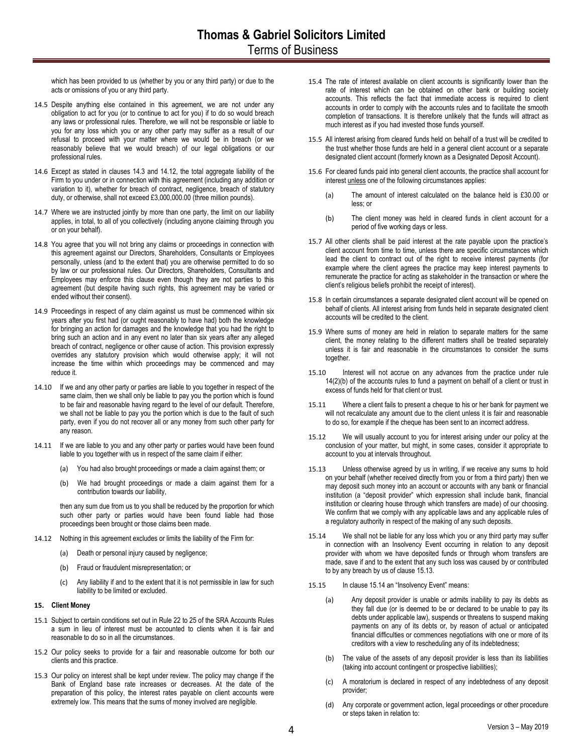which has been provided to us (whether by you or any third party) or due to the acts or omissions of you or any third party.

- 14.5 Despite anything else contained in this agreement, we are not under any obligation to act for you (or to continue to act for you) if to do so would breach any laws or professional rules. Therefore, we will not be responsible or liable to you for any loss which you or any other party may suffer as a result of our refusal to proceed with your matter where we would be in breach (or we reasonably believe that we would breach) of our legal obligations or our professional rules.
- 14.6 Except as stated in clauses [14.3](#page-2-5) and [14.12,](#page-3-1) the total aggregate liability of the Firm to you under or in connection with this agreement (including any addition or variation to it), whether for breach of contract, negligence, breach of statutory duty, or otherwise, shall not exceed £3,000,000.00 (three million pounds).
- 14.7 Where we are instructed jointly by more than one party, the limit on our liability applies, in total, to all of you collectively (including anyone claiming through you or on your behalf).
- <span id="page-3-5"></span>14.8 You agree that you will not bring any claims or proceedings in connection with this agreement against our Directors, Shareholders, Consultants or Employees personally, unless (and to the extent that) you are otherwise permitted to do so by law or our professional rules. Our Directors, Shareholders, Consultants and Employees may enforce this clause even though they are not parties to this agreement (but despite having such rights, this agreement may be varied or ended without their consent).
- 14.9 Proceedings in respect of any claim against us must be commenced within six years after you first had (or ought reasonably to have had) both the knowledge for bringing an action for damages and the knowledge that you had the right to bring such an action and in any event no later than six years after any alleged breach of contract, negligence or other cause of action. This provision expressly overrides any statutory provision which would otherwise apply; it will not increase the time within which proceedings may be commenced and may reduce it.
- 14.10 If we and any other party or parties are liable to you together in respect of the same claim, then we shall only be liable to pay you the portion which is found to be fair and reasonable having regard to the level of our default. Therefore, we shall not be liable to pay you the portion which is due to the fault of such party, even if you do not recover all or any money from such other party for any reason.
- 14.11 If we are liable to you and any other party or parties would have been found liable to you together with us in respect of the same claim if either:
	- (a) You had also brought proceedings or made a claim against them; or
	- (b) We had brought proceedings or made a claim against them for a contribution towards our liability,

then any sum due from us to you shall be reduced by the proportion for which such other party or parties would have been found liable had those proceedings been brought or those claims been made.

- <span id="page-3-1"></span>14.12 Nothing in this agreement excludes or limits the liability of the Firm for:
	- (a) Death or personal injury caused by negligence;
	- (b) Fraud or fraudulent misrepresentation; or
	- (c) Any liability if and to the extent that it is not permissible in law for such liability to be limited or excluded.

## <span id="page-3-0"></span>**15. Client Money**

- 15.1 Subject to certain conditions set out in Rule 22 to 25 of the SRA Accounts Rules a sum in lieu of interest must be accounted to clients when it is fair and reasonable to do so in all the circumstances.
- 15.2 Our policy seeks to provide for a fair and reasonable outcome for both our clients and this practice.
- 15.3 Our policy on interest shall be kept under review. The policy may change if the Bank of England base rate increases or decreases. At the date of the preparation of this policy, the interest rates payable on client accounts were extremely low. This means that the sums of money involved are negligible.
- 15.4 The rate of interest available on client accounts is significantly lower than the rate of interest which can be obtained on other bank or building society accounts. This reflects the fact that immediate access is required to client accounts in order to comply with the accounts rules and to facilitate the smooth completion of transactions. It is therefore unlikely that the funds will attract as much interest as if you had invested those funds yourself.
- 15.5 All interest arising from cleared funds held on behalf of a trust will be credited to the trust whether those funds are held in a general client account or a separate designated client account (formerly known as a Designated Deposit Account).
- 15.6 For cleared funds paid into general client accounts, the practice shall account for interest unless one of the following circumstances applies:
	- (a) The amount of interest calculated on the balance held is £30.00 or less; or
	- (b) The client money was held in cleared funds in client account for a period of five working days or less.
- 15.7 All other clients shall be paid interest at the rate payable upon the practice's client account from time to time, unless there are specific circumstances which lead the client to contract out of the right to receive interest payments (for example where the client agrees the practice may keep interest payments to remunerate the practice for acting as stakeholder in the transaction or where the client's religious beliefs prohibit the receipt of interest).
- 15.8 In certain circumstances a separate designated client account will be opened on behalf of clients. All interest arising from funds held in separate designated client accounts will be credited to the client.
- 15.9 Where sums of money are held in relation to separate matters for the same client, the money relating to the different matters shall be treated separately unless it is fair and reasonable in the circumstances to consider the sums together.
- 15.10 Interest will not accrue on any advances from the practice under rule 14(2)(b) of the accounts rules to fund a payment on behalf of a client or trust in excess of funds held for that client or trust.
- 15.11 Where a client fails to present a cheque to his or her bank for payment we will not recalculate any amount due to the client unless it is fair and reasonable to do so, for example if the cheque has been sent to an incorrect address.
- 15.12 We will usually account to you for interest arising under our policy at the conclusion of your matter, but might, in some cases, consider it appropriate to account to you at intervals throughout.
- <span id="page-3-2"></span>15.13 Unless otherwise agreed by us in writing, if we receive any sums to hold on your behalf (whether received directly from you or from a third party) then we may deposit such money into an account or accounts with any bank or financial institution (a "deposit provider" which expression shall include bank, financial institution or clearing house through which transfers are made) of our choosing. We confirm that we comply with any applicable laws and any applicable rules of a regulatory authority in respect of the making of any such deposits.
- <span id="page-3-3"></span>15.14 We shall not be liable for any loss which you or any third party may suffer in connection with an Insolvency Event occurring in relation to any deposit provider with whom we have deposited funds or through whom transfers are made, save if and to the extent that any such loss was caused by or contributed to by any breach by us of clause [15.13.](#page-3-2)
- <span id="page-3-4"></span>15.15 In clause [15.14](#page-3-3) an "Insolvency Event" means:
	- (a) Any deposit provider is unable or admits inability to pay its debts as they fall due (or is deemed to be or declared to be unable to pay its debts under applicable law), suspends or threatens to suspend making payments on any of its debts or, by reason of actual or anticipated financial difficulties or commences negotiations with one or more of its creditors with a view to rescheduling any of its indebtedness;
	- (b) The value of the assets of any deposit provider is less than its liabilities (taking into account contingent or prospective liabilities);
	- (c) A moratorium is declared in respect of any indebtedness of any deposit provider;
	- (d) Any corporate or government action, legal proceedings or other procedure or steps taken in relation to: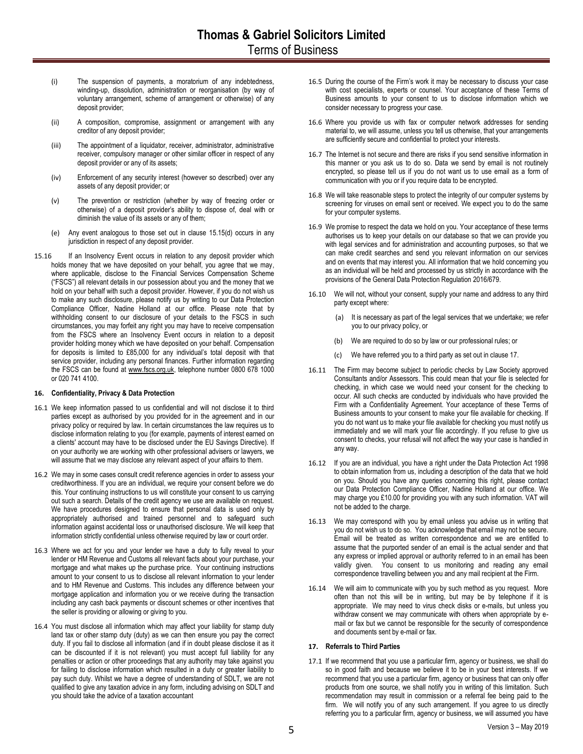- (i) The suspension of payments, a moratorium of any indebtedness, winding-up, dissolution, administration or reorganisation (by way of voluntary arrangement, scheme of arrangement or otherwise) of any deposit provider;
- (ii) A composition, compromise, assignment or arrangement with any creditor of any deposit provider;
- (iii) The appointment of a liquidator, receiver, administrator, administrative receiver, compulsory manager or other similar officer in respect of any deposit provider or any of its assets;
- (iv) Enforcement of any security interest (however so described) over any assets of any deposit provider; or
- (v) The prevention or restriction (whether by way of freezing order or otherwise) of a deposit provider's ability to dispose of, deal with or diminish the value of its assets or any of them;
- (e) Any event analogous to those set out in clause 15.1[5\(d\)](#page-3-4) occurs in any jurisdiction in respect of any deposit provider.
- 15.16 If an Insolvency Event occurs in relation to any deposit provider which holds money that we have deposited on your behalf, you agree that we may, where applicable, disclose to the Financial Services Compensation Scheme ("FSCS") all relevant details in our possession about you and the money that we hold on your behalf with such a deposit provider. However, if you do not wish us to make any such disclosure, please notify us by writing to our Data Protection Compliance Officer, Nadine Holland at our office. Please note that by withholding consent to our disclosure of your details to the FSCS in such circumstances, you may forfeit any right you may have to receive compensation from the FSCS where an Insolvency Event occurs in relation to a deposit provider holding money which we have deposited on your behalf. Compensation for deposits is limited to £85,000 for any individual's total deposit with that service provider, including any personal finances. Further information regarding the FSCS can be found at [www.fscs.org.uk,](http://www.fscs.org.uk/) telephone number 0800 678 1000 or 020 741 4100.

# <span id="page-4-0"></span>**16. Confidentiality, Privacy & Data Protection**

- 16.1 We keep information passed to us confidential and will not disclose it to third parties except as authorised by you provided for in the agreement and in our privacy policy or required by law. In certain circumstances the law requires us to disclose information relating to you (for example, payments of interest earned on a clients' account may have to be disclosed under the EU Savings Directive). If on your authority we are working with other professional advisers or lawyers, we will assume that we may disclose any relevant aspect of your affairs to them.
- 16.2 We may in some cases consult credit reference agencies in order to assess your creditworthiness. If you are an individual, we require your consent before we do this. Your continuing instructions to us will constitute your consent to us carrying out such a search. Details of the credit agency we use are available on request. We have procedures designed to ensure that personal data is used only by appropriately authorised and trained personnel and to safeguard such information against accidental loss or unauthorised disclosure. We will keep that information strictly confidential unless otherwise required by law or court order.
- 16.3 Where we act for you and your lender we have a duty to fully reveal to your lender or HM Revenue and Customs all relevant facts about your purchase, your mortgage and what makes up the purchase price. Your continuing instructions amount to your consent to us to disclose all relevant information to your lender and to HM Revenue and Customs. This includes any difference between your mortgage application and information you or we receive during the transaction including any cash back payments or discount schemes or other incentives that the seller is providing or allowing or giving to you.
- 16.4 You must disclose all information which may affect your liability for stamp duty land tax or other stamp duty (duty) as we can then ensure you pay the correct duty. If you fail to disclose all information (and if in doubt please disclose it as it can be discounted if it is not relevant) you must accept full liability for any penalties or action or other proceedings that any authority may take against you for failing to disclose information which resulted in a duty or greater liability to pay such duty. Whilst we have a degree of understanding of SDLT, we are not qualified to give any taxation advice in any form, including advising on SDLT and you should take the advice of a taxation accountant
- 16.5 During the course of the Firm's work it may be necessary to discuss your case with cost specialists, experts or counsel. Your acceptance of these Terms of Business amounts to your consent to us to disclose information which we consider necessary to progress your case.
- 16.6 Where you provide us with fax or computer network addresses for sending material to, we will assume, unless you tell us otherwise, that your arrangements are sufficiently secure and confidential to protect your interests.
- 16.7 The Internet is not secure and there are risks if you send sensitive information in this manner or you ask us to do so. Data we send by email is not routinely encrypted, so please tell us if you do not want us to use email as a form of communication with you or if you require data to be encrypted.
- 16.8 We will take reasonable steps to protect the integrity of our computer systems by screening for viruses on email sent or received. We expect you to do the same for your computer systems.
- 16.9 We promise to respect the data we hold on you. Your acceptance of these terms authorises us to keep your details on our database so that we can provide you with legal services and for administration and accounting purposes, so that we can make credit searches and send you relevant information on our services and on events that may interest you. All information that we hold concerning you as an individual will be held and processed by us strictly in accordance with the provisions of the General Data Protection Regulation 2016/679.
- 16.10 We will not, without your consent, supply your name and address to any third party except where:
	- (a) It is necessary as part of the legal services that we undertake; we refer you to our privacy policy, or
	- (b) We are required to do so by law or our professional rules; or
	- (c) We have referred you to a third party as set out in clause 17.
- 16.11 The Firm may become subject to periodic checks by Law Society approved Consultants and/or Assessors. This could mean that your file is selected for checking, in which case we would need your consent for the checking to occur. All such checks are conducted by individuals who have provided the Firm with a Confidentiality Agreement. Your acceptance of these Terms of Business amounts to your consent to make your file available for checking. If you do not want us to make your file available for checking you must notify us immediately and we will mark your file accordingly. If you refuse to give us consent to checks, your refusal will not affect the way your case is handled in any way.
- 16.12 If you are an individual, you have a right under the Data Protection Act 1998 to obtain information from us, including a description of the data that we hold on you. Should you have any queries concerning this right, please contact our Data Protection Compliance Officer, Nadine Holland at our office. We may charge you £10.00 for providing you with any such information. VAT will not be added to the charge.
- 16.13 We may correspond with you by email unless you advise us in writing that you do not wish us to do so. You acknowledge that email may not be secure. Email will be treated as written correspondence and we are entitled to assume that the purported sender of an email is the actual sender and that any express or implied approval or authority referred to in an email has been validly given. You consent to us monitoring and reading any email correspondence travelling between you and any mail recipient at the Firm.
- 16.14 We will aim to communicate with you by such method as you request. More often than not this will be in writing, but may be by telephone if it is appropriate. We may need to virus check disks or e-mails, but unless you withdraw consent we may communicate with others when appropriate by email or fax but we cannot be responsible for the security of correspondence and documents sent by e-mail or fax.

### <span id="page-4-1"></span>**17. Referrals to Third Parties**

17.1 If we recommend that you use a particular firm, agency or business, we shall do so in good faith and because we believe it to be in your best interests. If we recommend that you use a particular firm, agency or business that can only offer products from one source, we shall notify you in writing of this limitation. Such recommendation may result in commission or a referral fee being paid to the firm. We will notify you of any such arrangement. If you agree to us directly referring you to a particular firm, agency or business, we will assumed you have